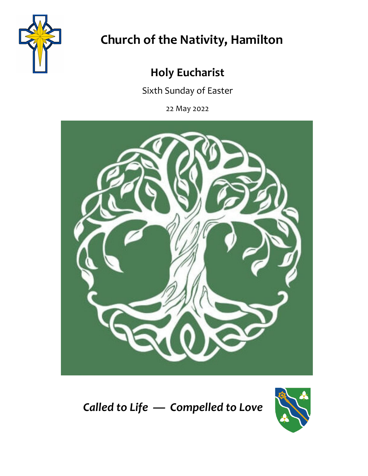

# **Church of the Nativity, Hamilton**

# **Holy Eucharist**

Sixth Sunday of Easter

22 May 2022



*Called to Life — Compelled to Love*

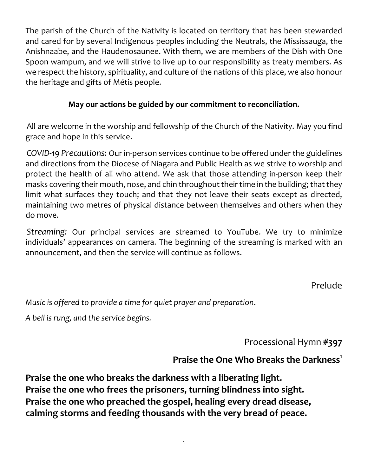The parish of the Church of the Nativity is located on territory that has been stewarded and cared for by several Indigenous peoples including the Neutrals, the Mississauga, the Anishnaabe, and the Haudenosaunee. With them, we are members of the Dish with One Spoon wampum, and we will strive to live up to our responsibility as treaty members. As we respect the history, spirituality, and culture of the nations of this place, we also honour the heritage and gifts of Métis people.

#### **May our actions be guided by our commitment to reconciliation.**

All are welcome in the worship and fellowship of the Church of the Nativity. May you find grace and hope in this service.

*COVID-19 Precautions:* Our in-person services continue to be offered under the guidelines and directions from the Diocese of Niagara and Public Health as we strive to worship and protect the health of all who attend. We ask that those attending in-person keep their masks covering their mouth, nose, and chin throughout their time in the building; that they limit what surfaces they touch; and that they not leave their seats except as directed, maintaining two metres of physical distance between themselves and others when they do move.

*Streaming:* Our principal services are streamed to YouTube. We try to minimize individuals' appearances on camera. The beginning of the streaming is marked with an announcement, and then the service will continue as follows.

Prelude

*Music is offered to provide a time for quiet prayer and preparation*.

*A bell is rung, and the service begins.*

Processional Hymn **#397** 

### Praise the One Who Breaks the Darkness<sup>1</sup>

**Praise the one who breaks the darkness with a liberating light. Praise the one who frees the prisoners, turning blindness into sight. Praise the one who preached the gospel, healing every dread disease, calming storms and feeding thousands with the very bread of peace.**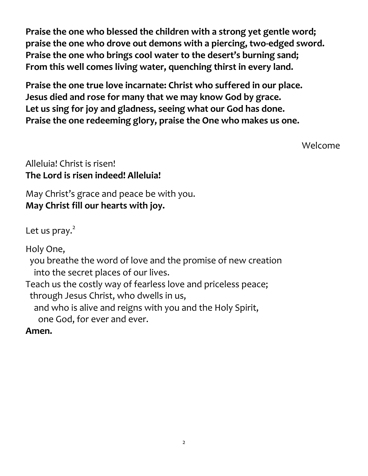**Praise the one who blessed the children with a strong yet gentle word; praise the one who drove out demons with a piercing, two-edged sword. Praise the one who brings cool water to the desert's burning sand; From this well comes living water, quenching thirst in every land.**

**Praise the one true love incarnate: Christ who suffered in our place. Jesus died and rose for many that we may know God by grace. Let us sing for joy and gladness, seeing what our God has done. Praise the one redeeming glory, praise the One who makes us one.**

Welcome

Alleluia! Christ is risen! **The Lord is risen indeed! Alleluia!**

May Christ's grace and peace be with you. **May Christ fill our hearts with joy.**

Let us pray. $2$ 

Holy One,

 you breathe the word of love and the promise of new creation into the secret places of our lives.

Teach us the costly way of fearless love and priceless peace; through Jesus Christ, who dwells in us,

 and who is alive and reigns with you and the Holy Spirit, one God, for ever and ever.

**Amen.**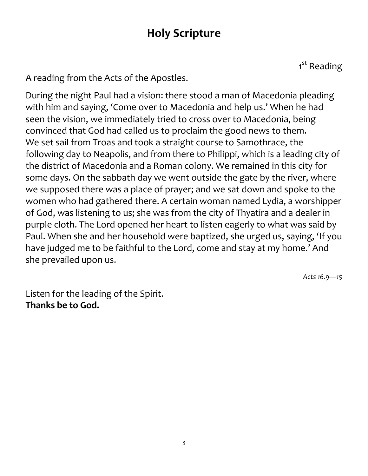# **Holy Scripture**

1<sup>st</sup> Reading

A reading from the Acts of the Apostles.

During the night Paul had a vision: there stood a man of Macedonia pleading with him and saying, 'Come over to Macedonia and help us.' When he had seen the vision, we immediately tried to cross over to Macedonia, being convinced that God had called us to proclaim the good news to them. We set sail from Troas and took a straight course to Samothrace, the following day to Neapolis, and from there to Philippi, which is a leading city of the district of Macedonia and a Roman colony. We remained in this city for some days. On the sabbath day we went outside the gate by the river, where we supposed there was a place of prayer; and we sat down and spoke to the women who had gathered there. A certain woman named Lydia, a worshipper of God, was listening to us; she was from the city of Thyatira and a dealer in purple cloth. The Lord opened her heart to listen eagerly to what was said by Paul. When she and her household were baptized, she urged us, saying, 'If you have judged me to be faithful to the Lord, come and stay at my home.' And she prevailed upon us.

*Acts 16.9—15*

Listen for the leading of the Spirit. **Thanks be to God.**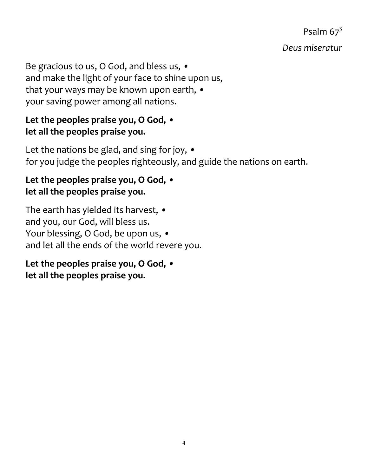Psalm  $67^3$ 

#### *Deus miseratur*

Be gracious to us, O God, and bless us, *•* and make the light of your face to shine upon us, that your ways may be known upon earth, *•* your saving power among all nations.

### **Let the peoples praise you, O God,** *•* **let all the peoples praise you.**

Let the nations be glad, and sing for joy, *•* for you judge the peoples righteously, and guide the nations on earth.

#### **Let the peoples praise you, O God,** *•* **let all the peoples praise you.**

The earth has yielded its harvest, *•* and you, our God, will bless us. Your blessing, O God, be upon us, *•* and let all the ends of the world revere you.

### **Let the peoples praise you, O God,** *•* **let all the peoples praise you.**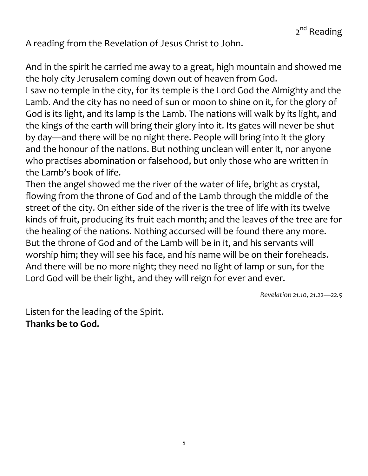A reading from the Revelation of Jesus Christ to John.

And in the spirit he carried me away to a great, high mountain and showed me the holy city Jerusalem coming down out of heaven from God.

I saw no temple in the city, for its temple is the Lord God the Almighty and the Lamb. And the city has no need of sun or moon to shine on it, for the glory of God is its light, and its lamp is the Lamb. The nations will walk by its light, and the kings of the earth will bring their glory into it. Its gates will never be shut by day—and there will be no night there. People will bring into it the glory and the honour of the nations. But nothing unclean will enter it, nor anyone who practises abomination or falsehood, but only those who are written in the Lamb's book of life.

Then the angel showed me the river of the water of life, bright as crystal, flowing from the throne of God and of the Lamb through the middle of the street of the city. On either side of the river is the tree of life with its twelve kinds of fruit, producing its fruit each month; and the leaves of the tree are for the healing of the nations. Nothing accursed will be found there any more. But the throne of God and of the Lamb will be in it, and his servants will worship him; they will see his face, and his name will be on their foreheads. And there will be no more night; they need no light of lamp or sun, for the Lord God will be their light, and they will reign for ever and ever.

*Revelation 21.10, 21.22—22.5*

Listen for the leading of the Spirit. **Thanks be to God.**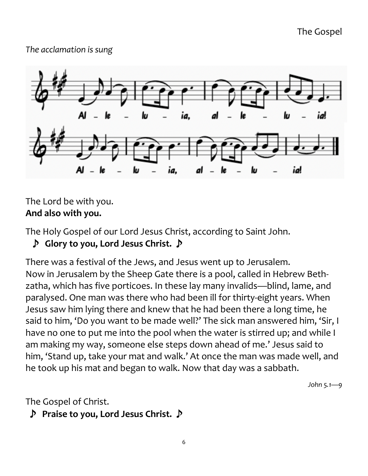#### *The acclamation is sung*



The Lord be with you. **And also with you.**

The Holy Gospel of our Lord Jesus Christ, according to Saint John.

### ♪ **Glory to you, Lord Jesus Christ.** ♪

There was a festival of the Jews, and Jesus went up to Jerusalem. Now in Jerusalem by the Sheep Gate there is a pool, called in Hebrew Bethzatha, which has five porticoes. In these lay many invalids—blind, lame, and paralysed. One man was there who had been ill for thirty-eight years. When Jesus saw him lying there and knew that he had been there a long time, he said to him, 'Do you want to be made well?' The sick man answered him, 'Sir, I have no one to put me into the pool when the water is stirred up; and while I am making my way, someone else steps down ahead of me.' Jesus said to him, 'Stand up, take your mat and walk.' At once the man was made well, and he took up his mat and began to walk. Now that day was a sabbath.

*John 5.1—9* 

The Gospel of Christ.

### ♪ **Praise to you, Lord Jesus Christ.** ♪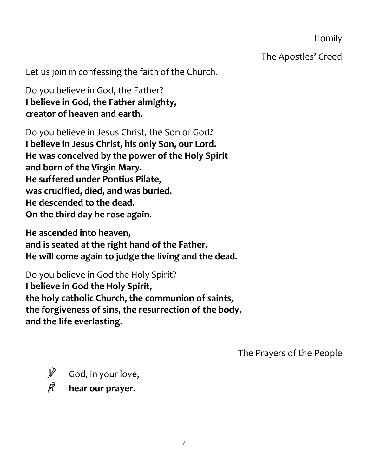Homily

The Apostles' Creed

Let us join in confessing the faith of the Church.

Do you believe in God, the Father? **I believe in God, the Father almighty, creator of heaven and earth.**

Do you believe in Jesus Christ, the Son of God? **I believe in Jesus Christ, his only Son, our Lord. He was conceived by the power of the Holy Spirit and born of the Virgin Mary. He suffered under Pontius Pilate, was crucified, died, and was buried. He descended to the dead. On the third day he rose again.**

**He ascended into heaven, and is seated at the right hand of the Father. He will come again to judge the living and the dead.**

Do you believe in God the Holy Spirit? **I believe in God the Holy Spirit, the holy catholic Church, the communion of saints, the forgiveness of sins, the resurrection of the body, and the life everlasting.**

The Prayers of the People



 $\cancel{V}$  God, in your love,

 $\vec{R}$  **hear our prayer.**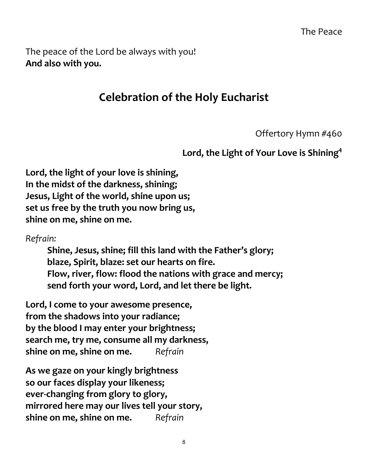The peace of the Lord be always with you! **And also with you.**

# **Celebration of the Holy Eucharist**

Offertory Hymn #460

**Lord, the Light of Your Love is Shining4**

**Lord, the light of your love is shining, In the midst of the darkness, shining; Jesus, Light of the world, shine upon us; set us free by the truth you now bring us, shine on me, shine on me.**

*Refrain:*

**Shine, Jesus, shine; fill this land with the Father's glory; blaze, Spirit, blaze: set our hearts on fire. Flow, river, flow: flood the nations with grace and mercy; send forth your word, Lord, and let there be light.** 

**Lord, I come to your awesome presence, from the shadows into your radiance; by the blood I may enter your brightness; search me, try me, consume all my darkness, shine on me, shine on me.** *Refrain*

**As we gaze on your kingly brightness so our faces display your likeness; ever-changing from glory to glory, mirrored here may our lives tell your story, shine on me, shine on me.** *Refrain*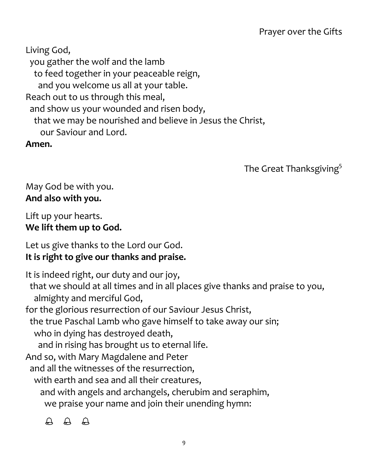Living God, you gather the wolf and the lamb to feed together in your peaceable reign, and you welcome us all at your table. Reach out to us through this meal, and show us your wounded and risen body, that we may be nourished and believe in Jesus the Christ, our Saviour and Lord. **Amen.**

The Great Thanksgiving<sup>5</sup>

## May God be with you. **And also with you.**

Lift up your hearts. **We lift them up to God.**

Let us give thanks to the Lord our God. **It is right to give our thanks and praise.** 

It is indeed right, our duty and our joy, that we should at all times and in all places give thanks and praise to you, almighty and merciful God, for the glorious resurrection of our Saviour Jesus Christ, the true Paschal Lamb who gave himself to take away our sin; who in dying has destroyed death, and in rising has brought us to eternal life. And so, with Mary Magdalene and Peter and all the witnesses of the resurrection, with earth and sea and all their creatures, and with angels and archangels, cherubim and seraphim, we praise your name and join their unending hymn:

 $A$   $A$   $B$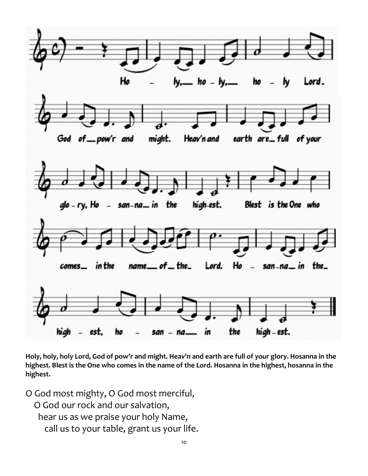

**Holy, holy, holy Lord, God of pow'r and might. Heav'n and earth are full of your glory. Hosanna in the highest. Blest is the One who comes in the name of the Lord. Hosanna in the highest, hosanna in the highest.**

O God most mighty, O God most merciful,

O God our rock and our salvation,

hear us as we praise your holy Name,

call us to your table, grant us your life.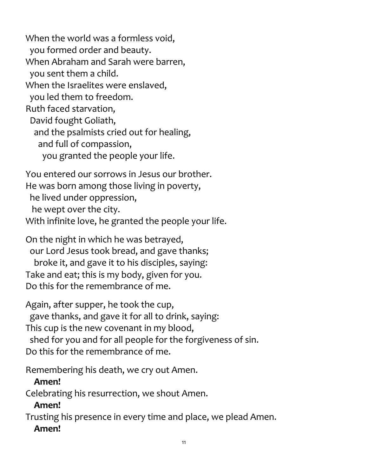When the world was a formless void, you formed order and beauty. When Abraham and Sarah were barren, you sent them a child. When the Israelites were enslaved, you led them to freedom. Ruth faced starvation, David fought Goliath, and the psalmists cried out for healing, and full of compassion, you granted the people your life.

You entered our sorrows in Jesus our brother. He was born among those living in poverty, he lived under oppression, he wept over the city. With infinite love, he granted the people your life.

On the night in which he was betrayed, our Lord Jesus took bread, and gave thanks; broke it, and gave it to his disciples, saying: Take and eat; this is my body, given for you. Do this for the remembrance of me.

Again, after supper, he took the cup, gave thanks, and gave it for all to drink, saying: This cup is the new covenant in my blood, shed for you and for all people for the forgiveness of sin. Do this for the remembrance of me.

Remembering his death, we cry out Amen.

## **Amen!**

Celebrating his resurrection, we shout Amen.

# **Amen!**

Trusting his presence in every time and place, we plead Amen.

# **Amen!**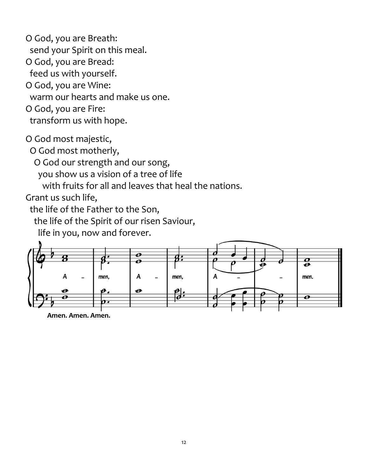O God, you are Breath: send your Spirit on this meal. O God, you are Bread: feed us with yourself. O God, you are Wine: warm our hearts and make us one. O God, you are Fire: transform us with hope.

O God most majestic,

O God most motherly,

O God our strength and our song,

you show us a vision of a tree of life

with fruits for all and leaves that heal the nations.

Grant us such life,

the life of the Father to the Son,

the life of the Spirit of our risen Saviour,

life in you, now and forever.



**Amen. Amen. Amen.**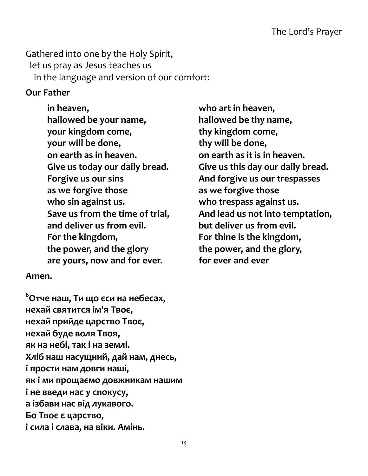Gathered into one by the Holy Spirit, let us pray as Jesus teaches us in the language and version of our comfort:

#### **Our Father**

**in heaven, who art in heaven, hallowed be your name, hallowed be thy name, your kingdom come, thy kingdom come, your will be done, thy will be done, on earth as in heaven. on earth as it is in heaven. Forgive us our sins And forgive us our trespasses as we forgive those as we forgive those who sin against us. who trespass against us. and deliver us from evil. but deliver us from evil. For the kingdom, For thine is the kingdom, the power, and the glory the power, and the glory, are yours, now and for ever. for ever and ever**

#### **Amen.**

**6 Отче наш, Ти що єси на небесах, нехай святится ім'я Твоє, нехай прийде царство Твоє, нехай буде воля Твоя, як на небі, так і на землі. Хліб наш насущний, дай нам, днесь, і прости нам довги наші, як і ми прощаємо довжникам нашим і не введи нас у спокусу, а ізбави нас від лукавого. Бо Твоє є царство, і силa і слава, на віки. Амінь.**

**Give us today our daily bread. Give us this day our daily bread. Save us from the time of trial, And lead us not into temptation,**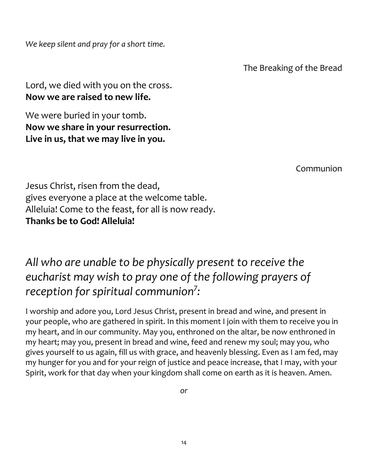*We keep silent and pray for a short time.*

The Breaking of the Bread

Lord, we died with you on the cross. **Now we are raised to new life.**

We were buried in your tomb. **Now we share in your resurrection. Live in us, that we may live in you.**

Communion

Jesus Christ, risen from the dead, gives everyone a place at the welcome table. Alleluia! Come to the feast, for all is now ready. **Thanks be to God! Alleluia!**

*All who are unable to be physically present to receive the eucharist may wish to pray one of the following prayers of reception for spiritual communion<sup>7</sup> :*

I worship and adore you, Lord Jesus Christ, present in bread and wine, and present in your people, who are gathered in spirit. In this moment I join with them to receive you in my heart, and in our community. May you, enthroned on the altar, be now enthroned in my heart; may you, present in bread and wine, feed and renew my soul; may you, who gives yourself to us again, fill us with grace, and heavenly blessing. Even as I am fed, may my hunger for you and for your reign of justice and peace increase, that I may, with your Spirit, work for that day when your kingdom shall come on earth as it is heaven. Amen.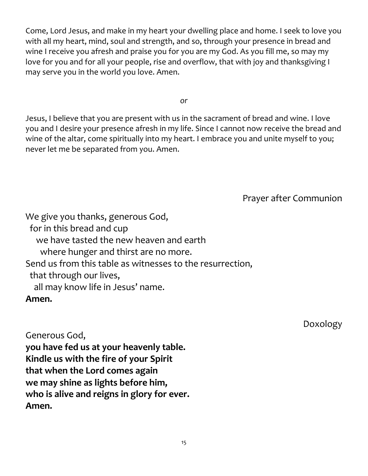Come, Lord Jesus, and make in my heart your dwelling place and home. I seek to love you with all my heart, mind, soul and strength, and so, through your presence in bread and wine I receive you afresh and praise you for you are my God. As you fill me, so may my love for you and for all your people, rise and overflow, that with joy and thanksgiving I may serve you in the world you love. Amen.

*or*

Jesus, I believe that you are present with us in the sacrament of bread and wine. I love you and I desire your presence afresh in my life. Since I cannot now receive the bread and wine of the altar, come spiritually into my heart. I embrace you and unite myself to you; never let me be separated from you. Amen.

Prayer after Communion

We give you thanks, generous God, for in this bread and cup we have tasted the new heaven and earth where hunger and thirst are no more. Send us from this table as witnesses to the resurrection, that through our lives, all may know life in Jesus' name. **Amen.**

Generous God, **you have fed us at your heavenly table. Kindle us with the fire of your Spirit that when the Lord comes again we may shine as lights before him, who is alive and reigns in glory for ever. Amen.**

Doxology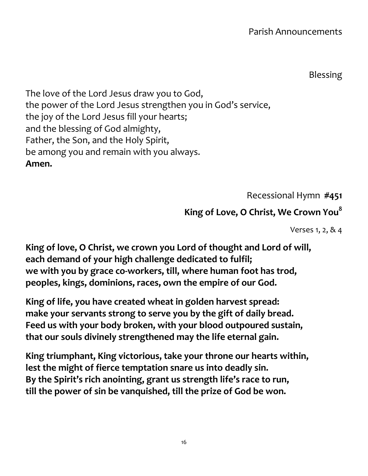Blessing

The love of the Lord Jesus draw you to God, the power of the Lord Jesus strengthen you in God's service, the joy of the Lord Jesus fill your hearts; and the blessing of God almighty, Father, the Son, and the Holy Spirit, be among you and remain with you always. **Amen.**

Recessional Hymn **#451**

**King of Love, O Christ, We Crown You8**

Verses 1, 2, & 4

**King of love, O Christ, we crown you Lord of thought and Lord of will, each demand of your high challenge dedicated to fulfil; we with you by grace co-workers, till, where human foot has trod, peoples, kings, dominions, races, own the empire of our God.**

**King of life, you have created wheat in golden harvest spread: make your servants strong to serve you by the gift of daily bread. Feed us with your body broken, with your blood outpoured sustain, that our souls divinely strengthened may the life eternal gain.**

**King triumphant, King victorious, take your throne our hearts within, lest the might of fierce temptation snare us into deadly sin. By the Spirit's rich anointing, grant us strength life's race to run, till the power of sin be vanquished, till the prize of God be won.**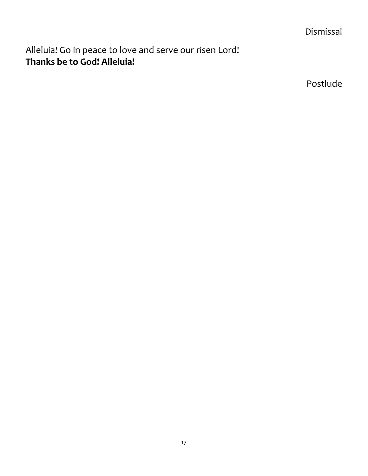### Dismissal

Alleluia! Go in peace to love and serve our risen Lord! **Thanks be to God! Alleluia!**

Postlude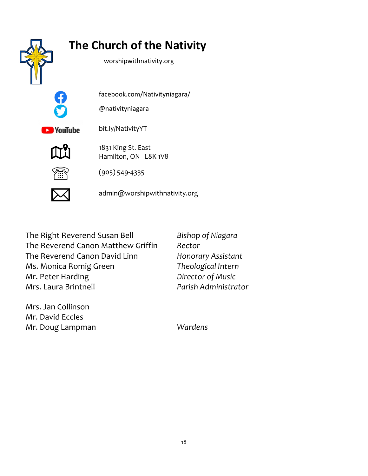

The Right Reverend Susan Bell *Bishop of Niagara* The Reverend Canon Matthew Griffin *Rector* The Reverend Canon David Linn *Honorary Assistant* Ms. Monica Romig Green *Theological Intern* Mr. Peter Harding *Director of Music* Mrs. Laura Brintnell *Parish Administrator*

Mrs. Jan Collinson Mr. David Eccles Mr. Doug Lampman *Wardens*